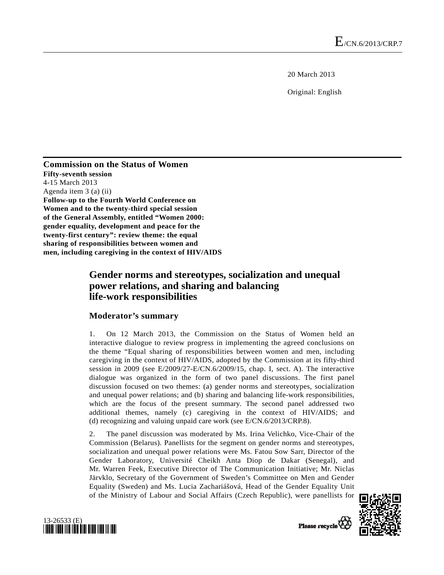20 March 2013

Original: English

**Commission on the Status of Women Fifty-seventh session**  4-15 March 2013 Agenda item 3 (a) (ii) **Follow-up to the Fourth World Conference on Women and to the twenty-third special session of the General Assembly, entitled "Women 2000: gender equality, development and peace for the twenty-first century": review theme: the equal sharing of responsibilities between women and men, including caregiving in the context of HIV/AIDS** 

# **Gender norms and stereotypes, socialization and unequal power relations, and sharing and balancing life-work responsibilities**

## **Moderator's summary**

1. On 12 March 2013, the Commission on the Status of Women held an interactive dialogue to review progress in implementing the agreed conclusions on the theme "Equal sharing of responsibilities between women and men, including caregiving in the context of HIV/AIDS, adopted by the Commission at its fifty-third session in 2009 (see E/2009/27-E/CN.6/2009/15, chap. I, sect. A). The interactive dialogue was organized in the form of two panel discussions. The first panel discussion focused on two themes: (a) gender norms and stereotypes, socialization and unequal power relations; and (b) sharing and balancing life-work responsibilities, which are the focus of the present summary. The second panel addressed two additional themes, namely (c) caregiving in the context of HIV/AIDS; and (d) recognizing and valuing unpaid care work (see E/CN.6/2013/CRP.8).

2. The panel discussion was moderated by Ms. Irina Velichko, Vice-Chair of the Commission (Belarus). Panellists for the segment on gender norms and stereotypes, socialization and unequal power relations were Ms. Fatou Sow Sarr, Director of the Gender Laboratory, Université Cheikh Anta Diop de Dakar (Senegal), and Mr. Warren Feek, Executive Director of The Communication Initiative; Mr. Niclas Järvklo, Secretary of the Government of Sweden's Committee on Men and Gender Equality (Sweden) and Ms. Lucia Zachariášová, Head of the Gender Equality Unit of the Ministry of Labour and Social Affairs (Czech Republic), were panellists for



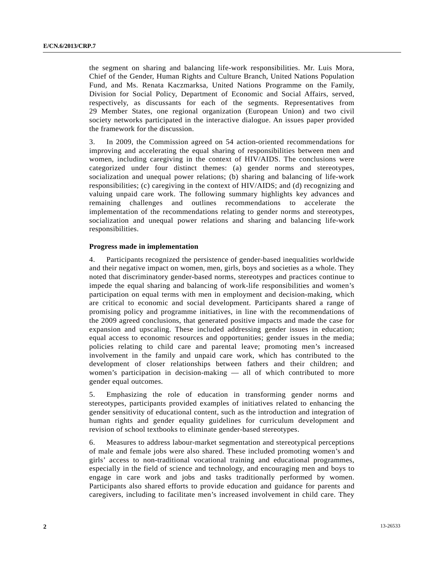the segment on sharing and balancing life-work responsibilities. Mr. Luis Mora, Chief of the Gender, Human Rights and Culture Branch, United Nations Population Fund, and Ms. Renata Kaczmarksa, United Nations Programme on the Family, Division for Social Policy, Department of Economic and Social Affairs, served, respectively, as discussants for each of the segments. Representatives from 29 Member States, one regional organization (European Union) and two civil society networks participated in the interactive dialogue. An issues paper provided the framework for the discussion.

3. In 2009, the Commission agreed on 54 action-oriented recommendations for improving and accelerating the equal sharing of responsibilities between men and women, including caregiving in the context of HIV/AIDS. The conclusions were categorized under four distinct themes: (a) gender norms and stereotypes, socialization and unequal power relations; (b) sharing and balancing of life-work responsibilities; (c) caregiving in the context of HIV/AIDS; and (d) recognizing and valuing unpaid care work. The following summary highlights key advances and remaining challenges and outlines recommendations to accelerate the implementation of the recommendations relating to gender norms and stereotypes, socialization and unequal power relations and sharing and balancing life-work responsibilities.

### **Progress made in implementation**

4. Participants recognized the persistence of gender-based inequalities worldwide and their negative impact on women, men, girls, boys and societies as a whole. They noted that discriminatory gender-based norms, stereotypes and practices continue to impede the equal sharing and balancing of work-life responsibilities and women's participation on equal terms with men in employment and decision-making, which are critical to economic and social development. Participants shared a range of promising policy and programme initiatives, in line with the recommendations of the 2009 agreed conclusions, that generated positive impacts and made the case for expansion and upscaling. These included addressing gender issues in education; equal access to economic resources and opportunities; gender issues in the media; policies relating to child care and parental leave; promoting men's increased involvement in the family and unpaid care work, which has contributed to the development of closer relationships between fathers and their children; and women's participation in decision-making — all of which contributed to more gender equal outcomes.

5. Emphasizing the role of education in transforming gender norms and stereotypes, participants provided examples of initiatives related to enhancing the gender sensitivity of educational content, such as the introduction and integration of human rights and gender equality guidelines for curriculum development and revision of school textbooks to eliminate gender-based stereotypes.

6. Measures to address labour-market segmentation and stereotypical perceptions of male and female jobs were also shared. These included promoting women's and girls' access to non-traditional vocational training and educational programmes, especially in the field of science and technology, and encouraging men and boys to engage in care work and jobs and tasks traditionally performed by women. Participants also shared efforts to provide education and guidance for parents and caregivers, including to facilitate men's increased involvement in child care. They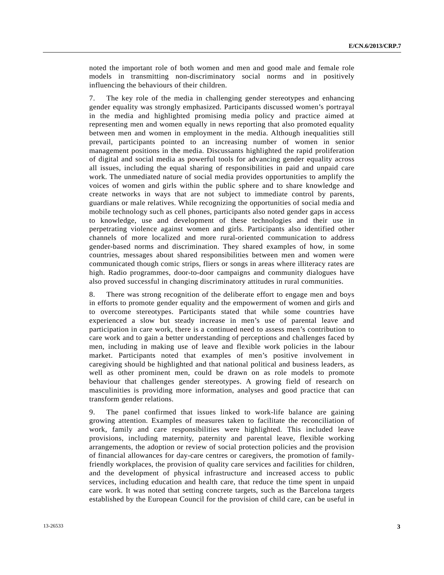noted the important role of both women and men and good male and female role models in transmitting non-discriminatory social norms and in positively influencing the behaviours of their children.

7. The key role of the media in challenging gender stereotypes and enhancing gender equality was strongly emphasized. Participants discussed women's portrayal in the media and highlighted promising media policy and practice aimed at representing men and women equally in news reporting that also promoted equality between men and women in employment in the media. Although inequalities still prevail, participants pointed to an increasing number of women in senior management positions in the media. Discussants highlighted the rapid proliferation of digital and social media as powerful tools for advancing gender equality across all issues, including the equal sharing of responsibilities in paid and unpaid care work. The unmediated nature of social media provides opportunities to amplify the voices of women and girls within the public sphere and to share knowledge and create networks in ways that are not subject to immediate control by parents, guardians or male relatives. While recognizing the opportunities of social media and mobile technology such as cell phones, participants also noted gender gaps in access to knowledge, use and development of these technologies and their use in perpetrating violence against women and girls. Participants also identified other channels of more localized and more rural-oriented communication to address gender-based norms and discrimination. They shared examples of how, in some countries, messages about shared responsibilities between men and women were communicated though comic strips, fliers or songs in areas where illiteracy rates are high. Radio programmes, door-to-door campaigns and community dialogues have also proved successful in changing discriminatory attitudes in rural communities.

8. There was strong recognition of the deliberate effort to engage men and boys in efforts to promote gender equality and the empowerment of women and girls and to overcome stereotypes. Participants stated that while some countries have experienced a slow but steady increase in men's use of parental leave and participation in care work, there is a continued need to assess men's contribution to care work and to gain a better understanding of perceptions and challenges faced by men, including in making use of leave and flexible work policies in the labour market. Participants noted that examples of men's positive involvement in caregiving should be highlighted and that national political and business leaders, as well as other prominent men, could be drawn on as role models to promote behaviour that challenges gender stereotypes. A growing field of research on masculinities is providing more information, analyses and good practice that can transform gender relations.

9. The panel confirmed that issues linked to work-life balance are gaining growing attention. Examples of measures taken to facilitate the reconciliation of work, family and care responsibilities were highlighted. This included leave provisions, including maternity, paternity and parental leave, flexible working arrangements, the adoption or review of social protection policies and the provision of financial allowances for day-care centres or caregivers, the promotion of familyfriendly workplaces, the provision of quality care services and facilities for children, and the development of physical infrastructure and increased access to public services, including education and health care, that reduce the time spent in unpaid care work. It was noted that setting concrete targets, such as the Barcelona targets established by the European Council for the provision of child care, can be useful in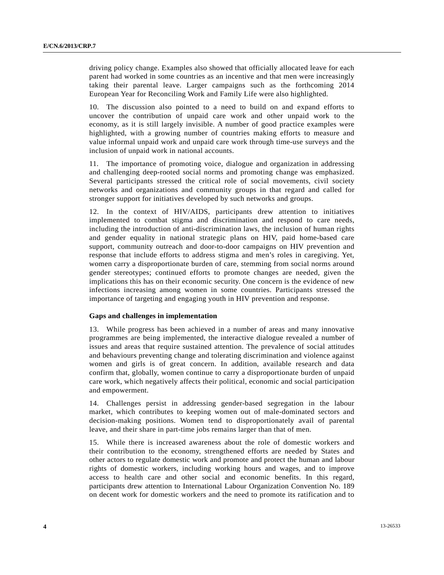driving policy change. Examples also showed that officially allocated leave for each parent had worked in some countries as an incentive and that men were increasingly taking their parental leave. Larger campaigns such as the forthcoming 2014 European Year for Reconciling Work and Family Life were also highlighted.

10. The discussion also pointed to a need to build on and expand efforts to uncover the contribution of unpaid care work and other unpaid work to the economy, as it is still largely invisible. A number of good practice examples were highlighted, with a growing number of countries making efforts to measure and value informal unpaid work and unpaid care work through time-use surveys and the inclusion of unpaid work in national accounts.

11. The importance of promoting voice, dialogue and organization in addressing and challenging deep-rooted social norms and promoting change was emphasized. Several participants stressed the critical role of social movements, civil society networks and organizations and community groups in that regard and called for stronger support for initiatives developed by such networks and groups.

12. In the context of HIV/AIDS, participants drew attention to initiatives implemented to combat stigma and discrimination and respond to care needs, including the introduction of anti-discrimination laws, the inclusion of human rights and gender equality in national strategic plans on HIV, paid home-based care support, community outreach and door-to-door campaigns on HIV prevention and response that include efforts to address stigma and men's roles in caregiving. Yet, women carry a disproportionate burden of care, stemming from social norms around gender stereotypes; continued efforts to promote changes are needed, given the implications this has on their economic security. One concern is the evidence of new infections increasing among women in some countries. Participants stressed the importance of targeting and engaging youth in HIV prevention and response.

#### **Gaps and challenges in implementation**

13. While progress has been achieved in a number of areas and many innovative programmes are being implemented, the interactive dialogue revealed a number of issues and areas that require sustained attention. The prevalence of social attitudes and behaviours preventing change and tolerating discrimination and violence against women and girls is of great concern. In addition, available research and data confirm that, globally, women continue to carry a disproportionate burden of unpaid care work, which negatively affects their political, economic and social participation and empowerment.

14. Challenges persist in addressing gender-based segregation in the labour market, which contributes to keeping women out of male-dominated sectors and decision-making positions. Women tend to disproportionately avail of parental leave, and their share in part-time jobs remains larger than that of men.

15. While there is increased awareness about the role of domestic workers and their contribution to the economy, strengthened efforts are needed by States and other actors to regulate domestic work and promote and protect the human and labour rights of domestic workers, including working hours and wages, and to improve access to health care and other social and economic benefits. In this regard, participants drew attention to International Labour Organization Convention No. 189 on decent work for domestic workers and the need to promote its ratification and to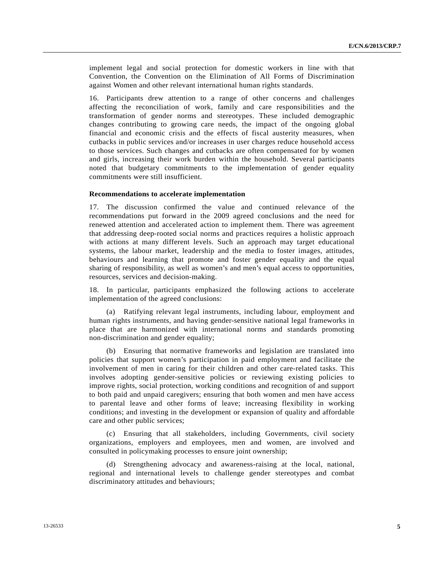implement legal and social protection for domestic workers in line with that Convention, the Convention on the Elimination of All Forms of Discrimination against Women and other relevant international human rights standards.

16. Participants drew attention to a range of other concerns and challenges affecting the reconciliation of work, family and care responsibilities and the transformation of gender norms and stereotypes. These included demographic changes contributing to growing care needs, the impact of the ongoing global financial and economic crisis and the effects of fiscal austerity measures, when cutbacks in public services and/or increases in user charges reduce household access to those services. Such changes and cutbacks are often compensated for by women and girls, increasing their work burden within the household. Several participants noted that budgetary commitments to the implementation of gender equality commitments were still insufficient.

#### **Recommendations to accelerate implementation**

17. The discussion confirmed the value and continued relevance of the recommendations put forward in the 2009 agreed conclusions and the need for renewed attention and accelerated action to implement them. There was agreement that addressing deep-rooted social norms and practices requires a holistic approach with actions at many different levels. Such an approach may target educational systems, the labour market, leadership and the media to foster images, attitudes, behaviours and learning that promote and foster gender equality and the equal sharing of responsibility, as well as women's and men's equal access to opportunities, resources, services and decision-making.

18. In particular, participants emphasized the following actions to accelerate implementation of the agreed conclusions:

 (a) Ratifying relevant legal instruments, including labour, employment and human rights instruments, and having gender-sensitive national legal frameworks in place that are harmonized with international norms and standards promoting non-discrimination and gender equality;

 (b) Ensuring that normative frameworks and legislation are translated into policies that support women's participation in paid employment and facilitate the involvement of men in caring for their children and other care-related tasks. This involves adopting gender-sensitive policies or reviewing existing policies to improve rights, social protection, working conditions and recognition of and support to both paid and unpaid caregivers; ensuring that both women and men have access to parental leave and other forms of leave; increasing flexibility in working conditions; and investing in the development or expansion of quality and affordable care and other public services;

 (c) Ensuring that all stakeholders, including Governments, civil society organizations, employers and employees, men and women, are involved and consulted in policymaking processes to ensure joint ownership;

 (d) Strengthening advocacy and awareness-raising at the local, national, regional and international levels to challenge gender stereotypes and combat discriminatory attitudes and behaviours;